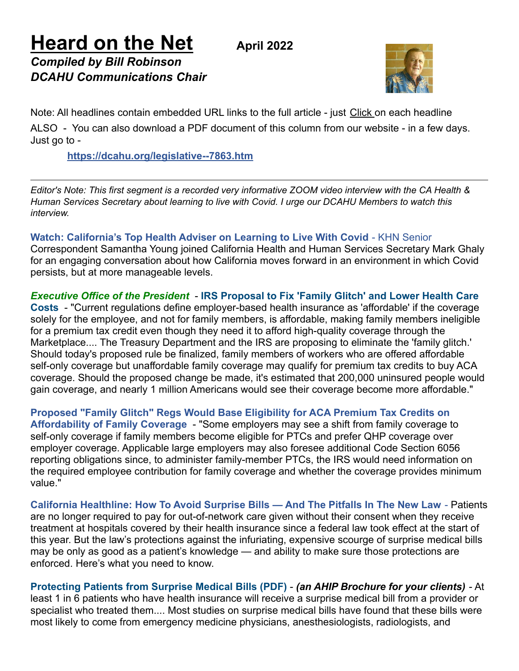**Heard on the Net April <sup>2022</sup>** *Compiled by Bill Robinson DCAHU Communications Chair*



Note: All headlines contain embedded URL links to the full article - just Click on each headline ALSO - You can also download a PDF document of this column from our website - in a few days. Just go to -

## **<https://dcahu.org/legislative--7863.htm>**

Editor's Note: This first segment is a recorded very informative ZOOM video interview with the CA Health & *Human Services Secretary about learning to live with Covid. I urge our DCAHU Members to watch this interview.*

**[Watch: California's Top Health Adviser on Learning to Live With Covid](https://connect.kff.org/e3t/Btc/RB+113/c1ThL04/VWKLnf3bBLjcW6sk9RV4VpBZBV5XFwB4GmlP7N8XrLGL3q3pBV1-WJV7CgR4yW6jPt322ZQyxTVd5pgK4G9F-HW7BcYBm23mHkvW1lJQ6t5KNpJpW8QH7Rp8LNWh2W2V4xFc7KykZmW8n8rg-2JVbbFW2BK4sg1Zp72QW3KV5bW11gkJTW1dmlTK7K6nBWW7jgzwD4-1yPjW6TZZG_8GChmkW80Mlcd5NcfszW1WCJJr3HwyvrMFxQQ1x3mPhW3GlD4Z8BNNxvW5kN6X098GFfbW4XsW6K1s0BCKW6GXCYv6NY3Z8W7Rj19s6mh48vW2QWCtn9l22PfW7xpDFz3R8Z1vW3bl82p49s3cbW8c4Y7x32fhdJW17Fq5D1QQb-fW8Q0T6b8vRldtW97pY1W3FQ9qPW5XdRDt5754XGW2VH2tB2QN_34W6FbGxS3bBNtw3n7P1)** - KHN Senior [Correspondent Samantha Young joined California Health and Human Services Secretary Mark Ghaly](https://connect.kff.org/e3t/Btc/RB+113/c1ThL04/VWKLnf3bBLjcW6sk9RV4VpBZBV5XFwB4GmlP7N8XrLGL3q3pBV1-WJV7CgR4yW6jPt322ZQyxTVd5pgK4G9F-HW7BcYBm23mHkvW1lJQ6t5KNpJpW8QH7Rp8LNWh2W2V4xFc7KykZmW8n8rg-2JVbbFW2BK4sg1Zp72QW3KV5bW11gkJTW1dmlTK7K6nBWW7jgzwD4-1yPjW6TZZG_8GChmkW80Mlcd5NcfszW1WCJJr3HwyvrMFxQQ1x3mPhW3GlD4Z8BNNxvW5kN6X098GFfbW4XsW6K1s0BCKW6GXCYv6NY3Z8W7Rj19s6mh48vW2QWCtn9l22PfW7xpDFz3R8Z1vW3bl82p49s3cbW8c4Y7x32fhdJW17Fq5D1QQb-fW8Q0T6b8vRldtW97pY1W3FQ9qPW5XdRDt5754XGW2VH2tB2QN_34W6FbGxS3bBNtw3n7P1) for an engaging conversation about how California moves [forward in an environment in which Covid](https://connect.kff.org/e3t/Btc/RB+113/c1ThL04/VWKLnf3bBLjcW6sk9RV4VpBZBV5XFwB4GmlP7N8XrLGL3q3pBV1-WJV7CgR4yW6jPt322ZQyxTVd5pgK4G9F-HW7BcYBm23mHkvW1lJQ6t5KNpJpW8QH7Rp8LNWh2W2V4xFc7KykZmW8n8rg-2JVbbFW2BK4sg1Zp72QW3KV5bW11gkJTW1dmlTK7K6nBWW7jgzwD4-1yPjW6TZZG_8GChmkW80Mlcd5NcfszW1WCJJr3HwyvrMFxQQ1x3mPhW3GlD4Z8BNNxvW5kN6X098GFfbW4XsW6K1s0BCKW6GXCYv6NY3Z8W7Rj19s6mh48vW2QWCtn9l22PfW7xpDFz3R8Z1vW3bl82p49s3cbW8c4Y7x32fhdJW17Fq5D1QQb-fW8Q0T6b8vRldtW97pY1W3FQ9qPW5XdRDt5754XGW2VH2tB2QN_34W6FbGxS3bBNtw3n7P1) [persists, but at more manageable levels.](https://connect.kff.org/e3t/Btc/RB+113/c1ThL04/VWKLnf3bBLjcW6sk9RV4VpBZBV5XFwB4GmlP7N8XrLGL3q3pBV1-WJV7CgR4yW6jPt322ZQyxTVd5pgK4G9F-HW7BcYBm23mHkvW1lJQ6t5KNpJpW8QH7Rp8LNWh2W2V4xFc7KykZmW8n8rg-2JVbbFW2BK4sg1Zp72QW3KV5bW11gkJTW1dmlTK7K6nBWW7jgzwD4-1yPjW6TZZG_8GChmkW80Mlcd5NcfszW1WCJJr3HwyvrMFxQQ1x3mPhW3GlD4Z8BNNxvW5kN6X098GFfbW4XsW6K1s0BCKW6GXCYv6NY3Z8W7Rj19s6mh48vW2QWCtn9l22PfW7xpDFz3R8Z1vW3bl82p49s3cbW8c4Y7x32fhdJW17Fq5D1QQb-fW8Q0T6b8vRldtW97pY1W3FQ9qPW5XdRDt5754XGW2VH2tB2QN_34W6FbGxS3bBNtw3n7P1)

*Executive Office of the President* - **IRS Proposal [to Fix 'Family Glitch' and Lower Health Care](https://benefitslink.com/m/url.cgi?n=109040&p=1649176573) [Costs](https://benefitslink.com/m/url.cgi?n=109040&p=1649176573)** - "Current regulations define employer-based health insurance as 'affordable' if the coverage solely for the employee, and not for family members, is affordable, making family members ineligible for a premium tax credit even though they need it to afford high-quality coverage through the Marketplace.... The Treasury Department and the IRS are proposing to eliminate the 'family glitch.' Should today's proposed rule be finalized, family members of workers who are offered affordable self-only coverage but unaffordable family coverage may qualify for premium tax credits to buy ACA coverage. Should the proposed change be made, it's estimated that 200,000 uninsured people would gain coverage, and nearly 1 million Americans would see their coverage become more affordable."

**[Proposed "Family Glitch" Regs Would Base Eligibility for ACA Premium Tax Credits on](https://benefitslink.com/m/url.cgi?n=109179&p=1649348190) [Affordability of Family Coverage](https://benefitslink.com/m/url.cgi?n=109179&p=1649348190)** - "Some employers may see a shift from family coverage to self-only coverage if family members become eligible for PTCs and prefer QHP coverage over employer coverage. Applicable large employers may also foresee additional Code Section 6056 reporting obligations since, to administer family-member PTCs, the IRS would need information on the required employee contribution for family coverage and whether the coverage provides minimum value."

**[California Healthline: How To Avoid Surprise Bills — And The Pitfalls In The New Law](https://connect.kff.org/e3t/Ctc/RB+113/c1ThL04/VWhHDT41q_VbW1qpb-m7zhs7mW2x7JLQ4GKF9QN5JQGmr3q3pBV1-WJV7CgX6gW4NY9ST5CmQzdW4H3-Kg8-nWBXW2Lx0GV5YjDYFW8CMsSc1KmVMcW6zH1C09fK1VpW2_285q1dKbxgW3Zy6fq5-M6_CW6v4kVw4149J2W3JWH_03kLd63W5PRQpc8_v0x9W82nbb45WV9xCW6LdscT81kMGJW34175b6BPNJxW47QD7w1RmJkFW3rLfNk9b_Zc8V6jrDV51DydmW8g1rSz6JvPhhW6KjJg-7GFzBPW44NQgn2FmbT5W86dChK5BnzbsW2cXyqQ7Pc101W5jMsjR1HYKPvW7HWRPX4td5khMPzFcG_p177W66wRLt7dxv_cW7tPwsp4B2Tq6W59G72C6kZQBCW4CkF536Hk1Q4F4r5fzNPXgCW7k4qwl41KjpJ2Gb1)** - Patients [are no longer required to pay for out-of-network care given without their consent when they receive](https://connect.kff.org/e3t/Ctc/RB+113/c1ThL04/VWhHDT41q_VbW1qpb-m7zhs7mW2x7JLQ4GKF9QN5JQGmr3q3pBV1-WJV7CgX6gW4NY9ST5CmQzdW4H3-Kg8-nWBXW2Lx0GV5YjDYFW8CMsSc1KmVMcW6zH1C09fK1VpW2_285q1dKbxgW3Zy6fq5-M6_CW6v4kVw4149J2W3JWH_03kLd63W5PRQpc8_v0x9W82nbb45WV9xCW6LdscT81kMGJW34175b6BPNJxW47QD7w1RmJkFW3rLfNk9b_Zc8V6jrDV51DydmW8g1rSz6JvPhhW6KjJg-7GFzBPW44NQgn2FmbT5W86dChK5BnzbsW2cXyqQ7Pc101W5jMsjR1HYKPvW7HWRPX4td5khMPzFcG_p177W66wRLt7dxv_cW7tPwsp4B2Tq6W59G72C6kZQBCW4CkF536Hk1Q4F4r5fzNPXgCW7k4qwl41KjpJ2Gb1) [treatment at hospitals covered by their health insurance since a federal law took effect at the start of](https://connect.kff.org/e3t/Ctc/RB+113/c1ThL04/VWhHDT41q_VbW1qpb-m7zhs7mW2x7JLQ4GKF9QN5JQGmr3q3pBV1-WJV7CgX6gW4NY9ST5CmQzdW4H3-Kg8-nWBXW2Lx0GV5YjDYFW8CMsSc1KmVMcW6zH1C09fK1VpW2_285q1dKbxgW3Zy6fq5-M6_CW6v4kVw4149J2W3JWH_03kLd63W5PRQpc8_v0x9W82nbb45WV9xCW6LdscT81kMGJW34175b6BPNJxW47QD7w1RmJkFW3rLfNk9b_Zc8V6jrDV51DydmW8g1rSz6JvPhhW6KjJg-7GFzBPW44NQgn2FmbT5W86dChK5BnzbsW2cXyqQ7Pc101W5jMsjR1HYKPvW7HWRPX4td5khMPzFcG_p177W66wRLt7dxv_cW7tPwsp4B2Tq6W59G72C6kZQBCW4CkF536Hk1Q4F4r5fzNPXgCW7k4qwl41KjpJ2Gb1) [this year. But the law's protections against the infuriating, expensive scourge of surprise medical bills](https://connect.kff.org/e3t/Ctc/RB+113/c1ThL04/VWhHDT41q_VbW1qpb-m7zhs7mW2x7JLQ4GKF9QN5JQGmr3q3pBV1-WJV7CgX6gW4NY9ST5CmQzdW4H3-Kg8-nWBXW2Lx0GV5YjDYFW8CMsSc1KmVMcW6zH1C09fK1VpW2_285q1dKbxgW3Zy6fq5-M6_CW6v4kVw4149J2W3JWH_03kLd63W5PRQpc8_v0x9W82nbb45WV9xCW6LdscT81kMGJW34175b6BPNJxW47QD7w1RmJkFW3rLfNk9b_Zc8V6jrDV51DydmW8g1rSz6JvPhhW6KjJg-7GFzBPW44NQgn2FmbT5W86dChK5BnzbsW2cXyqQ7Pc101W5jMsjR1HYKPvW7HWRPX4td5khMPzFcG_p177W66wRLt7dxv_cW7tPwsp4B2Tq6W59G72C6kZQBCW4CkF536Hk1Q4F4r5fzNPXgCW7k4qwl41KjpJ2Gb1) [may be only as good as a patient's knowledge — and ability to make sure those protections are](https://connect.kff.org/e3t/Ctc/RB+113/c1ThL04/VWhHDT41q_VbW1qpb-m7zhs7mW2x7JLQ4GKF9QN5JQGmr3q3pBV1-WJV7CgX6gW4NY9ST5CmQzdW4H3-Kg8-nWBXW2Lx0GV5YjDYFW8CMsSc1KmVMcW6zH1C09fK1VpW2_285q1dKbxgW3Zy6fq5-M6_CW6v4kVw4149J2W3JWH_03kLd63W5PRQpc8_v0x9W82nbb45WV9xCW6LdscT81kMGJW34175b6BPNJxW47QD7w1RmJkFW3rLfNk9b_Zc8V6jrDV51DydmW8g1rSz6JvPhhW6KjJg-7GFzBPW44NQgn2FmbT5W86dChK5BnzbsW2cXyqQ7Pc101W5jMsjR1HYKPvW7HWRPX4td5khMPzFcG_p177W66wRLt7dxv_cW7tPwsp4B2Tq6W59G72C6kZQBCW4CkF536Hk1Q4F4r5fzNPXgCW7k4qwl41KjpJ2Gb1) [enforced. Here's what you need to know.](https://connect.kff.org/e3t/Ctc/RB+113/c1ThL04/VWhHDT41q_VbW1qpb-m7zhs7mW2x7JLQ4GKF9QN5JQGmr3q3pBV1-WJV7CgX6gW4NY9ST5CmQzdW4H3-Kg8-nWBXW2Lx0GV5YjDYFW8CMsSc1KmVMcW6zH1C09fK1VpW2_285q1dKbxgW3Zy6fq5-M6_CW6v4kVw4149J2W3JWH_03kLd63W5PRQpc8_v0x9W82nbb45WV9xCW6LdscT81kMGJW34175b6BPNJxW47QD7w1RmJkFW3rLfNk9b_Zc8V6jrDV51DydmW8g1rSz6JvPhhW6KjJg-7GFzBPW44NQgn2FmbT5W86dChK5BnzbsW2cXyqQ7Pc101W5jMsjR1HYKPvW7HWRPX4td5khMPzFcG_p177W66wRLt7dxv_cW7tPwsp4B2Tq6W59G72C6kZQBCW4CkF536Hk1Q4F4r5fzNPXgCW7k4qwl41KjpJ2Gb1)

**[Protecting Patients from Surprise Medical Bills \(PDF\)](https://benefitslink.com/m/url.cgi?n=109178&p=1649348190)** - *(an AHIP Brochure for your clients)* - At least 1 in 6 patients who have health insurance will receive a surprise medical bill from a provider or specialist who treated them.... Most studies on surprise medical bills have found that these bills were most likely to come from emergency medicine physicians, anesthesiologists, radiologists, and